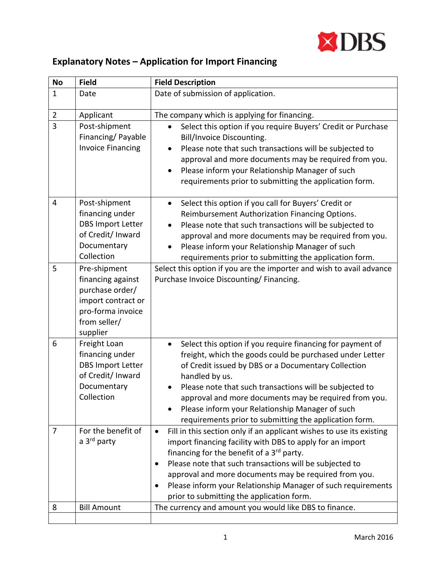

## **Explanatory Notes – Application for Import Financing**

| <b>No</b>      | <b>Field</b>                                                                                                                | <b>Field Description</b>                                                                                                                                                                                                                                                                                                                                                                                                                      |
|----------------|-----------------------------------------------------------------------------------------------------------------------------|-----------------------------------------------------------------------------------------------------------------------------------------------------------------------------------------------------------------------------------------------------------------------------------------------------------------------------------------------------------------------------------------------------------------------------------------------|
| $\mathbf{1}$   | Date                                                                                                                        | Date of submission of application.                                                                                                                                                                                                                                                                                                                                                                                                            |
| $\overline{2}$ | Applicant                                                                                                                   | The company which is applying for financing.                                                                                                                                                                                                                                                                                                                                                                                                  |
| 3              | Post-shipment<br>Financing/Payable<br><b>Invoice Financing</b>                                                              | Select this option if you require Buyers' Credit or Purchase<br>$\bullet$<br>Bill/Invoice Discounting.<br>Please note that such transactions will be subjected to<br>$\bullet$<br>approval and more documents may be required from you.<br>Please inform your Relationship Manager of such<br>requirements prior to submitting the application form.                                                                                          |
| 4              | Post-shipment<br>financing under<br><b>DBS Import Letter</b><br>of Credit/ Inward<br>Documentary<br>Collection              | Select this option if you call for Buyers' Credit or<br>$\bullet$<br>Reimbursement Authorization Financing Options.<br>Please note that such transactions will be subjected to<br>$\bullet$<br>approval and more documents may be required from you.<br>Please inform your Relationship Manager of such<br>$\bullet$<br>requirements prior to submitting the application form.                                                                |
| 5              | Pre-shipment<br>financing against<br>purchase order/<br>import contract or<br>pro-forma invoice<br>from seller/<br>supplier | Select this option if you are the importer and wish to avail advance<br>Purchase Invoice Discounting/Financing.                                                                                                                                                                                                                                                                                                                               |
| 6              | Freight Loan<br>financing under<br><b>DBS Import Letter</b><br>of Credit/ Inward<br>Documentary<br>Collection               | Select this option if you require financing for payment of<br>$\bullet$<br>freight, which the goods could be purchased under Letter<br>of Credit issued by DBS or a Documentary Collection<br>handled by us.<br>Please note that such transactions will be subjected to<br>approval and more documents may be required from you.<br>Please inform your Relationship Manager of such<br>requirements prior to submitting the application form. |
| $\overline{7}$ | For the benefit of<br>a 3 <sup>rd</sup> party                                                                               | Fill in this section only if an applicant wishes to use its existing<br>$\bullet$<br>import financing facility with DBS to apply for an import<br>financing for the benefit of a 3rd party.<br>Please note that such transactions will be subjected to<br>approval and more documents may be required from you.<br>Please inform your Relationship Manager of such requirements<br>prior to submitting the application form.                  |
| 8              | <b>Bill Amount</b>                                                                                                          | The currency and amount you would like DBS to finance.                                                                                                                                                                                                                                                                                                                                                                                        |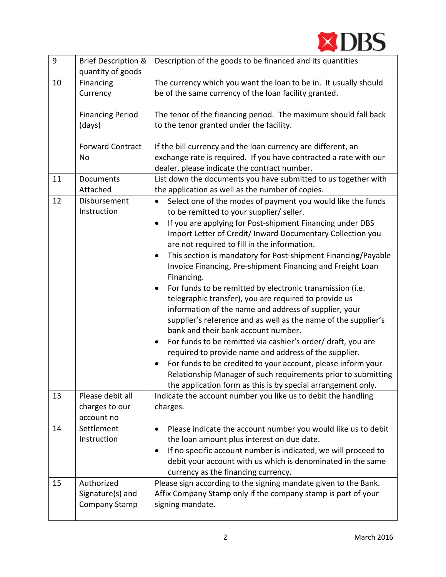

| $\boldsymbol{9}$ | <b>Brief Description &amp;</b><br>quantity of goods        | Description of the goods to be financed and its quantities                                                                                                                                                                                                                                                                                                                                                                                                                                                                                                                                                                                                                                                                                                                                                                                                                                                                                                                                                                                                                                                 |
|------------------|------------------------------------------------------------|------------------------------------------------------------------------------------------------------------------------------------------------------------------------------------------------------------------------------------------------------------------------------------------------------------------------------------------------------------------------------------------------------------------------------------------------------------------------------------------------------------------------------------------------------------------------------------------------------------------------------------------------------------------------------------------------------------------------------------------------------------------------------------------------------------------------------------------------------------------------------------------------------------------------------------------------------------------------------------------------------------------------------------------------------------------------------------------------------------|
| 10               | Financing<br>Currency<br><b>Financing Period</b><br>(days) | The currency which you want the loan to be in. It usually should<br>be of the same currency of the loan facility granted.<br>The tenor of the financing period. The maximum should fall back<br>to the tenor granted under the facility.                                                                                                                                                                                                                                                                                                                                                                                                                                                                                                                                                                                                                                                                                                                                                                                                                                                                   |
|                  | <b>Forward Contract</b><br>No                              | If the bill currency and the loan currency are different, an<br>exchange rate is required. If you have contracted a rate with our<br>dealer, please indicate the contract number.                                                                                                                                                                                                                                                                                                                                                                                                                                                                                                                                                                                                                                                                                                                                                                                                                                                                                                                          |
| 11               | Documents<br>Attached                                      | List down the documents you have submitted to us together with<br>the application as well as the number of copies.                                                                                                                                                                                                                                                                                                                                                                                                                                                                                                                                                                                                                                                                                                                                                                                                                                                                                                                                                                                         |
| 12               | Disbursement<br>Instruction                                | Select one of the modes of payment you would like the funds<br>$\bullet$<br>to be remitted to your supplier/ seller.<br>If you are applying for Post-shipment Financing under DBS<br>$\bullet$<br>Import Letter of Credit/ Inward Documentary Collection you<br>are not required to fill in the information.<br>This section is mandatory for Post-shipment Financing/Payable<br>$\bullet$<br>Invoice Financing, Pre-shipment Financing and Freight Loan<br>Financing.<br>For funds to be remitted by electronic transmission (i.e.<br>٠<br>telegraphic transfer), you are required to provide us<br>information of the name and address of supplier, your<br>supplier's reference and as well as the name of the supplier's<br>bank and their bank account number.<br>For funds to be remitted via cashier's order/ draft, you are<br>$\bullet$<br>required to provide name and address of the supplier.<br>For funds to be credited to your account, please inform your<br>Relationship Manager of such requirements prior to submitting<br>the application form as this is by special arrangement only. |
| 13               | Please debit all<br>charges to our<br>account no           | Indicate the account number you like us to debit the handling<br>charges.                                                                                                                                                                                                                                                                                                                                                                                                                                                                                                                                                                                                                                                                                                                                                                                                                                                                                                                                                                                                                                  |
| 14               | Settlement<br>Instruction                                  | Please indicate the account number you would like us to debit<br>the loan amount plus interest on due date.<br>If no specific account number is indicated, we will proceed to<br>debit your account with us which is denominated in the same<br>currency as the financing currency.                                                                                                                                                                                                                                                                                                                                                                                                                                                                                                                                                                                                                                                                                                                                                                                                                        |
| 15               | Authorized<br>Signature(s) and<br>Company Stamp            | Please sign according to the signing mandate given to the Bank.<br>Affix Company Stamp only if the company stamp is part of your<br>signing mandate.                                                                                                                                                                                                                                                                                                                                                                                                                                                                                                                                                                                                                                                                                                                                                                                                                                                                                                                                                       |